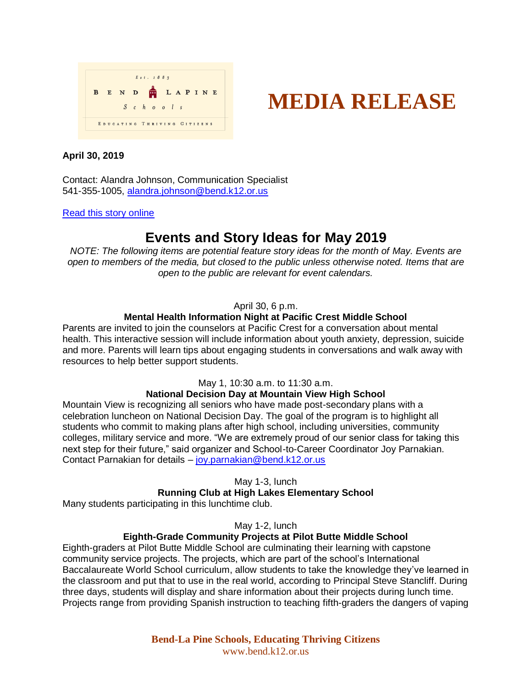



# **April 30, 2019**

Contact: Alandra Johnson, Communication Specialist 541-355-1005, [alandra.johnson@bend.k12.or.us](mailto:alandra.johnson@bend.k12.or.us)

#### [Read this story online](https://www.bend.k12.or.us/district/news-events/news/2019/04/move-day-life-skills-showcase-and-more)

# **Events and Story Ideas for May 2019**

*NOTE: The following items are potential feature story ideas for the month of May. Events are open to members of the media, but closed to the public unless otherwise noted. Items that are open to the public are relevant for event calendars.*

# April 30, 6 p.m.

# **Mental Health Information Night at Pacific Crest Middle School**

Parents are invited to join the counselors at Pacific Crest for a conversation about mental health. This interactive session will include information about youth anxiety, depression, suicide and more. Parents will learn tips about engaging students in conversations and walk away with resources to help better support students.

# May 1, 10:30 a.m. to 11:30 a.m.

# **National Decision Day at Mountain View High School**

Mountain View is recognizing all seniors who have made post-secondary plans with a celebration luncheon on National Decision Day. The goal of the program is to highlight all students who commit to making plans after high school, including universities, community colleges, military service and more. "We are extremely proud of our senior class for taking this next step for their future," said organizer and School-to-Career Coordinator Joy Parnakian. Contact Parnakian for details – [joy.parnakian@bend.k12.or.us](mailto:joy.parnakian@bend.k12.or.us)

May 1-3, lunch

#### **Running Club at High Lakes Elementary School**

Many students participating in this lunchtime club.

May 1-2, lunch

# **Eighth-Grade Community Projects at Pilot Butte Middle School**

Eighth-graders at Pilot Butte Middle School are culminating their learning with capstone community service projects. The projects, which are part of the school's International Baccalaureate World School curriculum, allow students to take the knowledge they've learned in the classroom and put that to use in the real world, according to Principal Steve Stancliff. During three days, students will display and share information about their projects during lunch time. Projects range from providing Spanish instruction to teaching fifth-graders the dangers of vaping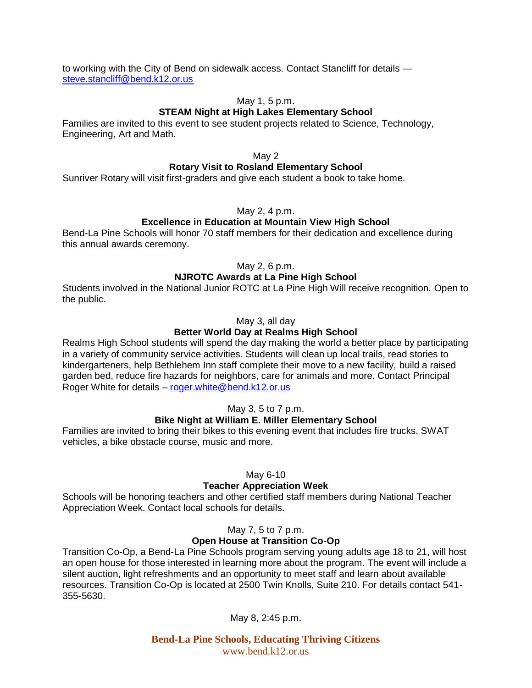to working with the City of Bend on sidewalk access. Contact Stancliff for details [steve.stancliff@bend.k12.or.us](mailto:steve.stancliff@bend.k12.or.us)

#### May 1, 5 p.m.

#### **STEAM Night at High Lakes Elementary School**

Families are invited to this event to see student projects related to Science, Technology, Engineering, Art and Math.

May 2

# **Rotary Visit to Rosland Elementary School**

Sunriver Rotary will visit first-graders and give each student a book to take home.

#### May 2, 4 p.m.

#### **Excellence in Education at Mountain View High School**

Bend-La Pine Schools will honor 70 staff members for their dedication and excellence during this annual awards ceremony.

May 2, 6 p.m.

# **NJROTC Awards at La Pine High School**

Students involved in the National Junior ROTC at La Pine High Will receive recognition. Open to the public.

May 3, all day

# **Better World Day at Realms High School**

Realms High School students will spend the day making the world a better place by participating in a variety of community service activities. Students will clean up local trails, read stories to kindergarteners, help Bethlehem Inn staff complete their move to a new facility, build a raised garden bed, reduce fire hazards for neighbors, care for animals and more. Contact Principal Roger White for details – [roger.white@bend.k12.or.us](mailto:roger.white@bend.k12.or.us)

#### May 3, 5 to 7 p.m.

# **Bike Night at William E. Miller Elementary School**

Families are invited to bring their bikes to this evening event that includes fire trucks, SWAT vehicles, a bike obstacle course, music and more.

#### May 6-10

#### **Teacher Appreciation Week**

Schools will be honoring teachers and other certified staff members during National Teacher Appreciation Week. Contact local schools for details.

# May 7, 5 to 7 p.m.

# **Open House at Transition Co-Op**

Transition Co-Op, a Bend-La Pine Schools program serving young adults age 18 to 21, will host an open house for those interested in learning more about the program. The event will include a silent auction, light refreshments and an opportunity to meet staff and learn about available resources. Transition Co-Op is located at 2500 Twin Knolls, Suite 210. For details contact 541- 355-5630.

May 8, 2:45 p.m.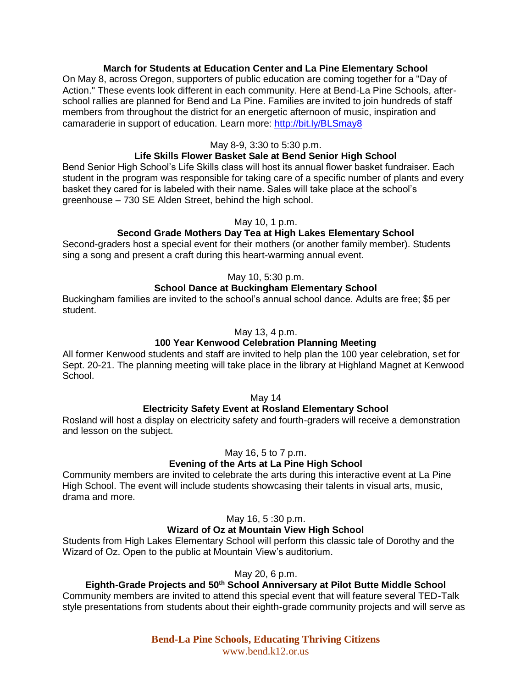# **March for Students at Education Center and La Pine Elementary School**

On May 8, across Oregon, supporters of public education are coming together for a "Day of Action." These events look different in each community. Here at Bend-La Pine Schools, afterschool rallies are planned for Bend and La Pine. Families are invited to join hundreds of staff members from throughout the district for an energetic afternoon of music, inspiration and camaraderie in support of education. Learn more:<http://bit.ly/BLSmay8>

## May 8-9, 3:30 to 5:30 p.m.

# **Life Skills Flower Basket Sale at Bend Senior High School**

Bend Senior High School's Life Skills class will host its annual flower basket fundraiser. Each student in the program was responsible for taking care of a specific number of plants and every basket they cared for is labeled with their name. Sales will take place at the school's greenhouse – 730 SE Alden Street, behind the high school.

#### May 10, 1 p.m.

# **Second Grade Mothers Day Tea at High Lakes Elementary School**

Second-graders host a special event for their mothers (or another family member). Students sing a song and present a craft during this heart-warming annual event.

# May 10, 5:30 p.m.

# **School Dance at Buckingham Elementary School**

Buckingham families are invited to the school's annual school dance. Adults are free; \$5 per student.

#### May 13, 4 p.m.

# **100 Year Kenwood Celebration Planning Meeting**

All former Kenwood students and staff are invited to help plan the 100 year celebration, set for Sept. 20-21. The planning meeting will take place in the library at Highland Magnet at Kenwood School.

## May 14

#### **Electricity Safety Event at Rosland Elementary School**

Rosland will host a display on electricity safety and fourth-graders will receive a demonstration and lesson on the subject.

May 16, 5 to 7 p.m.

#### **Evening of the Arts at La Pine High School**

Community members are invited to celebrate the arts during this interactive event at La Pine High School. The event will include students showcasing their talents in visual arts, music, drama and more.

#### May 16, 5 :30 p.m.

#### **Wizard of Oz at Mountain View High School**

Students from High Lakes Elementary School will perform this classic tale of Dorothy and the Wizard of Oz. Open to the public at Mountain View's auditorium.

#### May 20, 6 p.m.

# **Eighth-Grade Projects and 50th School Anniversary at Pilot Butte Middle School**

Community members are invited to attend this special event that will feature several TED-Talk style presentations from students about their eighth-grade community projects and will serve as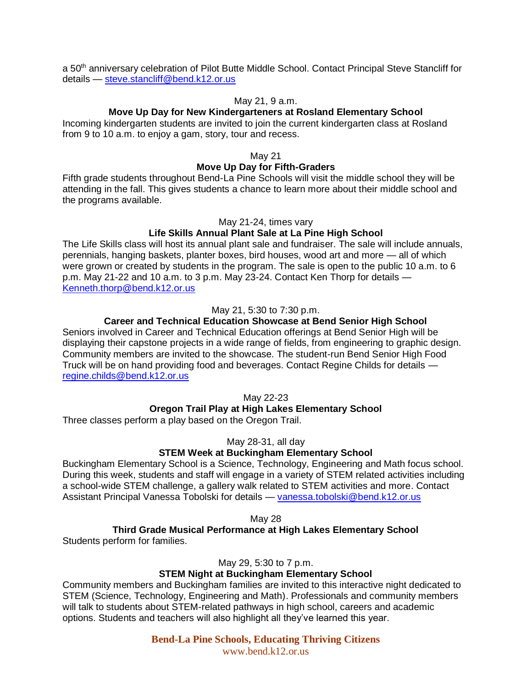a 50<sup>th</sup> anniversary celebration of Pilot Butte Middle School. Contact Principal Steve Stancliff for details — [steve.stancliff@bend.k12.or.us](mailto:steve.stancliff@bend.k12.or.us)

#### May 21, 9 a.m.

# **Move Up Day for New Kindergarteners at Rosland Elementary School**

Incoming kindergarten students are invited to join the current kindergarten class at Rosland from 9 to 10 a.m. to enjoy a gam, story, tour and recess.

#### May 21

# **Move Up Day for Fifth-Graders**

Fifth grade students throughout Bend-La Pine Schools will visit the middle school they will be attending in the fall. This gives students a chance to learn more about their middle school and the programs available.

#### May 21-24, times vary

# **Life Skills Annual Plant Sale at La Pine High School**

The Life Skills class will host its annual plant sale and fundraiser. The sale will include annuals, perennials, hanging baskets, planter boxes, bird houses, wood art and more — all of which were grown or created by students in the program. The sale is open to the public 10 a.m. to 6 p.m. May 21-22 and 10 a.m. to 3 p.m. May 23-24. Contact Ken Thorp for details — [Kenneth.thorp@bend.k12.or.us](mailto:Kenneth.thorp@bend.k12.or.us)

# May 21, 5:30 to 7:30 p.m.

# **Career and Technical Education Showcase at Bend Senior High School**

Seniors involved in Career and Technical Education offerings at Bend Senior High will be displaying their capstone projects in a wide range of fields, from engineering to graphic design. Community members are invited to the showcase. The student-run Bend Senior High Food Truck will be on hand providing food and beverages. Contact Regine Childs for details [regine.childs@bend.k12.or.us](mailto:regine.childs@bend.k12.or.us)

May 22-23

#### **Oregon Trail Play at High Lakes Elementary School**

Three classes perform a play based on the Oregon Trail.

May 28-31, all day

#### **STEM Week at Buckingham Elementary School**

Buckingham Elementary School is a Science, Technology, Engineering and Math focus school. During this week, students and staff will engage in a variety of STEM related activities including a school-wide STEM challenge, a gallery walk related to STEM activities and more. Contact Assistant Principal Vanessa Tobolski for details — [vanessa.tobolski@bend.k12.or.us](mailto:vanessa.tobolski@bend.k12.or.us)

#### May 28

#### **Third Grade Musical Performance at High Lakes Elementary School** Students perform for families.

May 29, 5:30 to 7 p.m.

# **STEM Night at Buckingham Elementary School**

Community members and Buckingham families are invited to this interactive night dedicated to STEM (Science, Technology, Engineering and Math). Professionals and community members will talk to students about STEM-related pathways in high school, careers and academic options. Students and teachers will also highlight all they've learned this year.